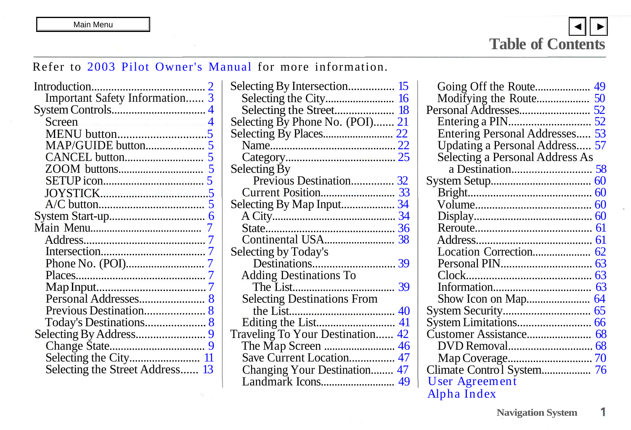$\overline{\mathbf{z}}$ 

1

## <span id="page-0-0"></span>Refer to 2003 Pilot Owner's Manual for more information.

|                                 | Selecting By Intersection 15       |                                 |
|---------------------------------|------------------------------------|---------------------------------|
| Important Safety Information 3  |                                    |                                 |
|                                 |                                    |                                 |
| Screen <b>Screen</b>            | Selecting By Phone No. (POI) 21    |                                 |
|                                 |                                    | Entering Personal Addresses 53  |
|                                 |                                    | Updating a Personal Address 57  |
|                                 |                                    | Selecting a Personal Address As |
|                                 | Selecting By                       |                                 |
|                                 | Previous Destination 32            |                                 |
|                                 |                                    |                                 |
|                                 |                                    |                                 |
|                                 |                                    |                                 |
|                                 |                                    |                                 |
|                                 |                                    |                                 |
|                                 | Selecting by Today's               |                                 |
|                                 |                                    |                                 |
|                                 | <b>Adding Destinations To</b>      |                                 |
|                                 |                                    |                                 |
|                                 | <b>Selecting Destinations From</b> |                                 |
|                                 |                                    |                                 |
|                                 |                                    |                                 |
|                                 | Traveling To Your Destination 42   |                                 |
|                                 |                                    |                                 |
|                                 |                                    |                                 |
| Selecting the Street Address 13 | Changing Your Destination 47       |                                 |
|                                 |                                    | User Agreement                  |
|                                 |                                    | Alpha Index                     |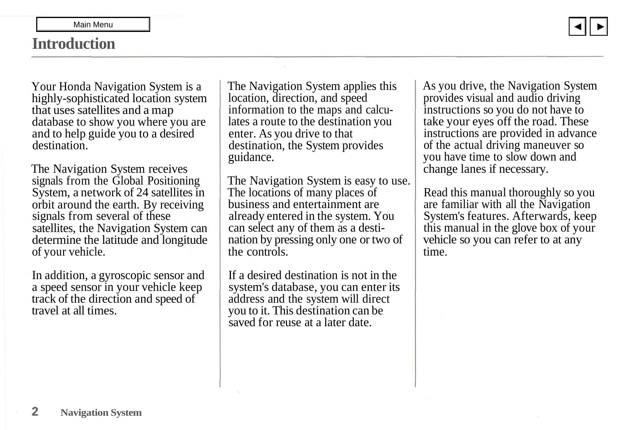## <span id="page-1-0"></span>**Introduction**

[▼](#page-2-0)

Your Honda Navigation System is a highly-sophisticated location system that uses satellites and a map database to show you where you are and to help guide you to a desired destination.

The Navigation System receives signals from the Global Positioning System, a network of 24 satellites in orbit around the earth. By receiving signals from several of these satellites, the Navigation System can determine the latitude and longitude of your vehicle.

In addition, a gyroscopic sensor and a speed sensor in your vehicle keep track of the direction and speed of travel at all times.

The Navigation System applies this location, direction, and speed information to the maps and calculates a route to the destination you enter. As you drive to that destination, the System provides guidance.

The Navigation System is easy to use. The locations of many places of business and entertainment are already entered in the system. You can select any of them as a destination by pressing only one or two of the controls.

If a desired destination is not in the system's database, you can enter its address and the system will direct you to it. This destination can be saved for reuse at a later date.

As you drive, the Navigation System provides visual and audio driving instructions so you do not have to take your eyes off the road. These instructions are provided in advance of the actual driving maneuver so you have time to slow down and change lanes if necessary.

Read this manual thoroughly so you are familiar with all the Navigation System's features. Afterwards, keep this manual in the glove box of your vehicle so you can refer to at any time.